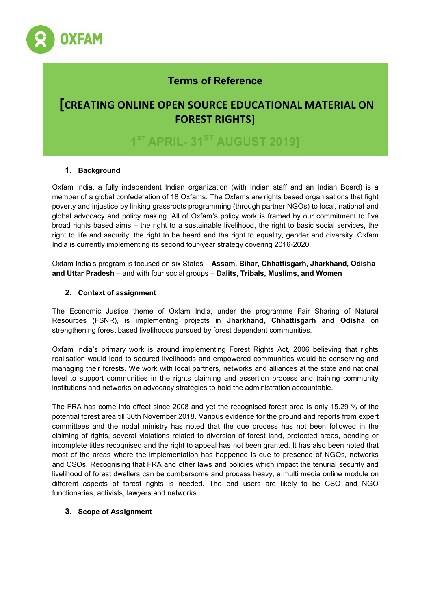

# **Terms of Reference**

# **[CREATING ONLINE OPEN SOURCE EDUCATIONAL MATERIAL ON FOREST RIGHTS]**

**1 ST APRIL- 31ST AUGUST 2019]** 

# **1. Background**

Oxfam India, a fully independent Indian organization (with Indian staff and an Indian Board) is a member of a global confederation of 18 Oxfams. The Oxfams are rights based organisations that fight poverty and injustice by linking grassroots programming (through partner NGOs) to local, national and global advocacy and policy making. All of Oxfam's policy work is framed by our commitment to five broad rights based aims – the right to a sustainable livelihood, the right to basic social services, the right to life and security, the right to be heard and the right to equality, gender and diversity. Oxfam India is currently implementing its second four-year strategy covering 2016-2020.

Oxfam India's program is focused on six States – **Assam, Bihar, Chhattisgarh, Jharkhand, Odisha and Uttar Pradesh** – and with four social groups – **Dalits, Tribals, Muslims, and Women**

## **2. Context of assignment**

The Economic Justice theme of Oxfam India, under the programme Fair Sharing of Natural Resources (FSNR), is implementing projects in **Jharkhand**, **Chhattisgarh and Odisha** on strengthening forest based livelihoods pursued by forest dependent communities.

Oxfam India's primary work is around implementing Forest Rights Act, 2006 believing that rights realisation would lead to secured livelihoods and empowered communities would be conserving and managing their forests. We work with local partners, networks and alliances at the state and national level to support communities in the rights claiming and assertion process and training community institutions and networks on advocacy strategies to hold the administration accountable.

The FRA has come into effect since 2008 and yet the recognised forest area is only 15.29 % of the potential forest area till 30th November 2018. Various evidence for the ground and reports from expert committees and the nodal ministry has noted that the due process has not been followed in the claiming of rights, several violations related to diversion of forest land, protected areas, pending or incomplete titles recognised and the right to appeal has not been granted. It has also been noted that most of the areas where the implementation has happened is due to presence of NGOs, networks and CSOs. Recognising that FRA and other laws and policies which impact the tenurial security and livelihood of forest dwellers can be cumbersome and process heavy, a multi media online module on different aspects of forest rights is needed. The end users are likely to be CSO and NGO functionaries, activists, lawyers and networks.

## **3. Scope of Assignment**